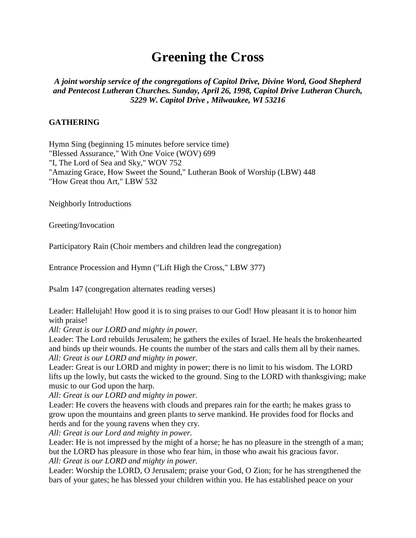# **Greening the Cross**

## *A joint worship service of the congregations of Capitol Drive, Divine Word, Good Shepherd and Pentecost Lutheran Churches. Sunday, April 26, 1998, Capitol Drive Lutheran Church, 5229 W. Capitol Drive , Milwaukee, WI 53216*

### **GATHERING**

Hymn Sing (beginning 15 minutes before service time) "Blessed Assurance," With One Voice (WOV) 699 "I, The Lord of Sea and Sky," WOV 752 "Amazing Grace, How Sweet the Sound," Lutheran Book of Worship (LBW) 448 "How Great thou Art," LBW 532

Neighborly Introductions

Greeting/Invocation

Participatory Rain (Choir members and children lead the congregation)

Entrance Procession and Hymn ("Lift High the Cross," LBW 377)

Psalm 147 (congregation alternates reading verses)

Leader: Hallelujah! How good it is to sing praises to our God! How pleasant it is to honor him with praise!

*All: Great is our LORD and mighty in power.*

Leader: The Lord rebuilds Jerusalem; he gathers the exiles of Israel. He heals the brokenhearted and binds up their wounds. He counts the number of the stars and calls them all by their names. *All: Great is our LORD and mighty in power.*

Leader: Great is our LORD and mighty in power; there is no limit to his wisdom. The LORD lifts up the lowly, but casts the wicked to the ground. Sing to the LORD with thanksgiving; make music to our God upon the harp.

*All: Great is our LORD and mighty in power.*

Leader: He covers the heavens with clouds and prepares rain for the earth; he makes grass to grow upon the mountains and green plants to serve mankind. He provides food for flocks and herds and for the young ravens when they cry.

*All: Great is our Lord and mighty in power.*

Leader: He is not impressed by the might of a horse; he has no pleasure in the strength of a man; but the LORD has pleasure in those who fear him, in those who await his gracious favor. *All: Great is our LORD and mighty in power.*

Leader: Worship the LORD, O Jerusalem; praise your God, O Zion; for he has strengthened the bars of your gates; he has blessed your children within you. He has established peace on your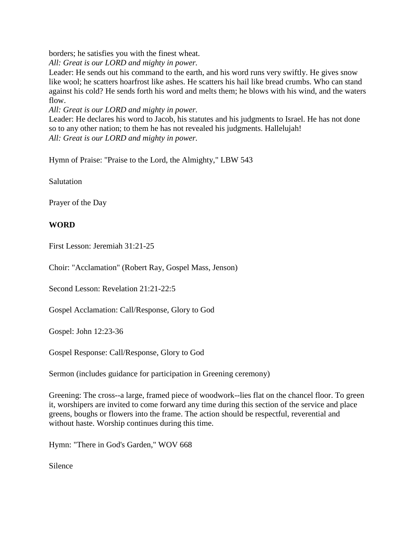borders; he satisfies you with the finest wheat.

*All: Great is our LORD and mighty in power.*

Leader: He sends out his command to the earth, and his word runs very swiftly. He gives snow like wool; he scatters hoarfrost like ashes. He scatters his hail like bread crumbs. Who can stand against his cold? He sends forth his word and melts them; he blows with his wind, and the waters flow.

*All: Great is our LORD and mighty in power.*

Leader: He declares his word to Jacob, his statutes and his judgments to Israel. He has not done so to any other nation; to them he has not revealed his judgments. Hallelujah! *All: Great is our LORD and mighty in power.*

Hymn of Praise: "Praise to the Lord, the Almighty," LBW 543

**Salutation** 

Prayer of the Day

## **WORD**

First Lesson: Jeremiah 31:21-25

Choir: "Acclamation" (Robert Ray, Gospel Mass, Jenson)

Second Lesson: Revelation 21:21-22:5

Gospel Acclamation: Call/Response, Glory to God

Gospel: John 12:23-36

Gospel Response: Call/Response, Glory to God

Sermon (includes guidance for participation in Greening ceremony)

Greening: The cross--a large, framed piece of woodwork--lies flat on the chancel floor. To green it, worshipers are invited to come forward any time during this section of the service and place greens, boughs or flowers into the frame. The action should be respectful, reverential and without haste. Worship continues during this time.

Hymn: "There in God's Garden," WOV 668

Silence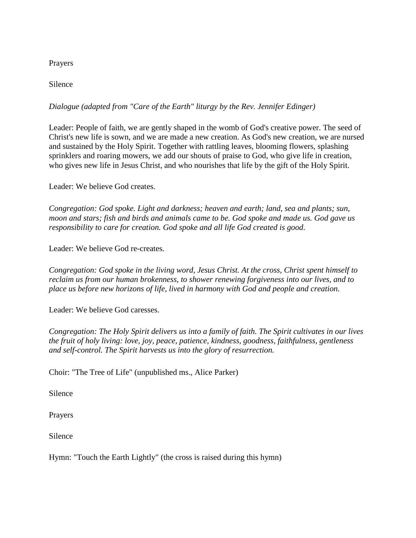#### Prayers

Silence

## *Dialogue (adapted from "Care of the Earth" liturgy by the Rev. Jennifer Edinger)*

Leader: People of faith, we are gently shaped in the womb of God's creative power. The seed of Christ's new life is sown, and we are made a new creation. As God's new creation, we are nursed and sustained by the Holy Spirit. Together with rattling leaves, blooming flowers, splashing sprinklers and roaring mowers, we add our shouts of praise to God, who give life in creation, who gives new life in Jesus Christ, and who nourishes that life by the gift of the Holy Spirit.

Leader: We believe God creates.

*Congregation: God spoke. Light and darkness; heaven and earth; land, sea and plants; sun, moon and stars; fish and birds and animals came to be. God spoke and made us. God gave us responsibility to care for creation. God spoke and all life God created is good.*

Leader: We believe God re-creates.

*Congregation: God spoke in the living word, Jesus Christ. At the cross, Christ spent himself to reclaim us from our human brokenness, to shower renewing forgiveness into our lives, and to place us before new horizons of life, lived in harmony with God and people and creation.*

Leader: We believe God caresses.

*Congregation: The Holy Spirit delivers us into a family of faith. The Spirit cultivates in our lives the fruit of holy living: love, joy, peace, patience, kindness, goodness, faithfulness, gentleness and self-control. The Spirit harvests us into the glory of resurrection.*

Choir: "The Tree of Life" (unpublished ms., Alice Parker)

Silence

Prayers

Silence

Hymn: "Touch the Earth Lightly" (the cross is raised during this hymn)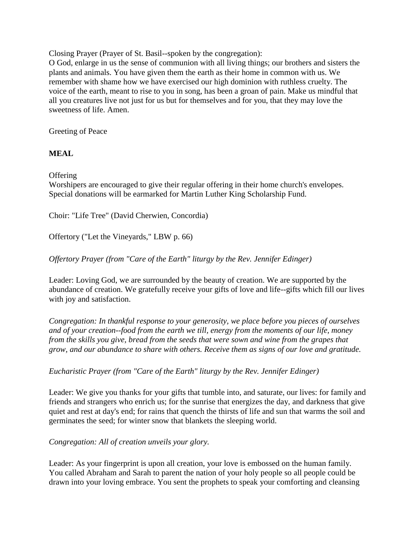Closing Prayer (Prayer of St. Basil--spoken by the congregation):

O God, enlarge in us the sense of communion with all living things; our brothers and sisters the plants and animals. You have given them the earth as their home in common with us. We remember with shame how we have exercised our high dominion with ruthless cruelty. The voice of the earth, meant to rise to you in song, has been a groan of pain. Make us mindful that all you creatures live not just for us but for themselves and for you, that they may love the sweetness of life. Amen.

Greeting of Peace

#### **MEAL**

**Offering** 

Worshipers are encouraged to give their regular offering in their home church's envelopes. Special donations will be earmarked for Martin Luther King Scholarship Fund.

Choir: "Life Tree" (David Cherwien, Concordia)

Offertory ("Let the Vineyards," LBW p. 66)

*Offertory Prayer (from "Care of the Earth" liturgy by the Rev. Jennifer Edinger)*

Leader: Loving God, we are surrounded by the beauty of creation. We are supported by the abundance of creation. We gratefully receive your gifts of love and life--gifts which fill our lives with joy and satisfaction.

*Congregation: In thankful response to your generosity, we place before you pieces of ourselves and of your creation--food from the earth we till, energy from the moments of our life, money from the skills you give, bread from the seeds that were sown and wine from the grapes that grow, and our abundance to share with others. Receive them as signs of our love and gratitude.*

*Eucharistic Prayer (from "Care of the Earth" liturgy by the Rev. Jennifer Edinger)*

Leader: We give you thanks for your gifts that tumble into, and saturate, our lives: for family and friends and strangers who enrich us; for the sunrise that energizes the day, and darkness that give quiet and rest at day's end; for rains that quench the thirsts of life and sun that warms the soil and germinates the seed; for winter snow that blankets the sleeping world.

*Congregation: All of creation unveils your glory.*

Leader: As your fingerprint is upon all creation, your love is embossed on the human family. You called Abraham and Sarah to parent the nation of your holy people so all people could be drawn into your loving embrace. You sent the prophets to speak your comforting and cleansing